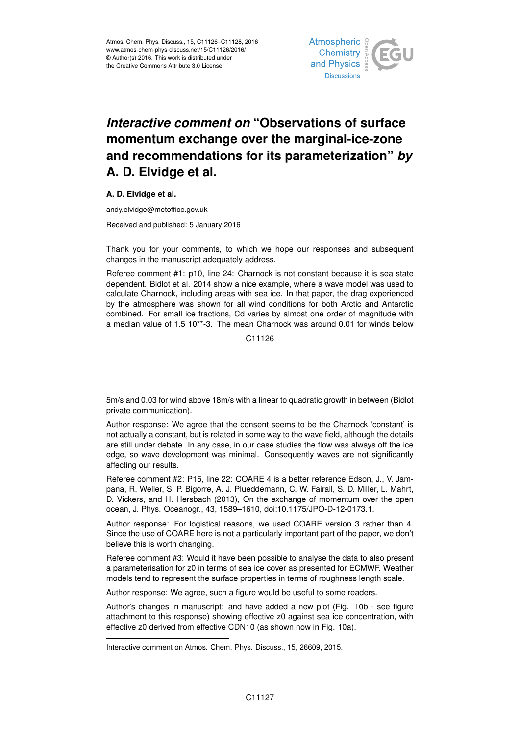

## *Interactive comment on* **"Observations of surface momentum exchange over the marginal-ice-zone and recommendations for its parameterization"** *by* **A. D. Elvidge et al.**

## **A. D. Elvidge et al.**

andy.elvidge@metoffice.gov.uk

Received and published: 5 January 2016

Thank you for your comments, to which we hope our responses and subsequent changes in the manuscript adequately address.

Referee comment #1: p10, line 24: Charnock is not constant because it is sea state dependent. Bidlot et al. 2014 show a nice example, where a wave model was used to calculate Charnock, including areas with sea ice. In that paper, the drag experienced by the atmosphere was shown for all wind conditions for both Arctic and Antarctic combined. For small ice fractions, Cd varies by almost one order of magnitude with a median value of 1.5 10\*\*-3. The mean Charnock was around 0.01 for winds below

C11126

5m/s and 0.03 for wind above 18m/s with a linear to quadratic growth in between (Bidlot private communication).

Author response: We agree that the consent seems to be the Charnock 'constant' is not actually a constant, but is related in some way to the wave field, although the details are still under debate. In any case, in our case studies the flow was always off the ice edge, so wave development was minimal. Consequently waves are not significantly affecting our results.

Referee comment #2: P15, line 22: COARE 4 is a better reference Edson, J., V. Jampana, R. Weller, S. P. Bigorre, A. J. Plueddemann, C. W. Fairall, S. D. Miller, L. Mahrt, D. Vickers, and H. Hersbach (2013), On the exchange of momentum over the open ocean, J. Phys. Oceanogr., 43, 1589–1610, doi:10.1175/JPO-D-12-0173.1.

Author response: For logistical reasons, we used COARE version 3 rather than 4. Since the use of COARE here is not a particularly important part of the paper, we don't believe this is worth changing.

Referee comment #3: Would it have been possible to analyse the data to also present a parameterisation for z0 in terms of sea ice cover as presented for ECMWF. Weather models tend to represent the surface properties in terms of roughness length scale.

Author response: We agree, such a figure would be useful to some readers.

Author's changes in manuscript: and have added a new plot (Fig. 10b - see figure attachment to this response) showing effective z0 against sea ice concentration, with effective z0 derived from effective CDN10 (as shown now in Fig. 10a).

Interactive comment on Atmos. Chem. Phys. Discuss., 15, 26609, 2015.